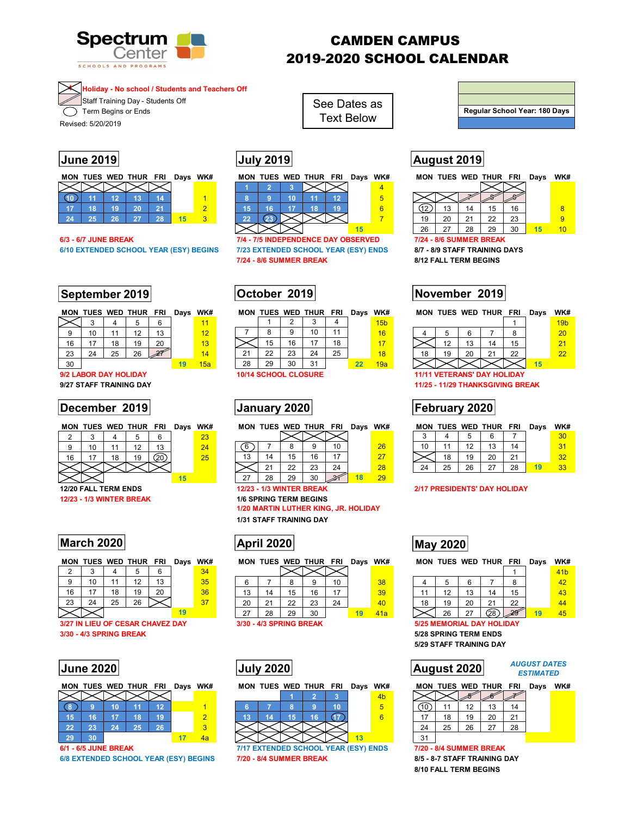

# CAMDEN CAMPUS 2019-2020 SCHOOL CALENDAR

### **4 Holiday - No school / Students and Teachers Off**

**Staff Training Day - Students Off** Term Begins or Ends

Text Below<br>Revised: 5/20/2019

|    |    |     | MON TUES WED THUR FRI |    | Days | WK# |
|----|----|-----|-----------------------|----|------|-----|
|    |    |     |                       |    |      |     |
|    |    | ۲Ρλ |                       |    |      |     |
|    | 18 | 19  | 20                    |    |      |     |
| 24 | クち | 26  | -27                   | 28 |      |     |

**6/10 EXTENDED SCHOOL YEAR (ESY) BEGINS 7/23 EXTENDED SCHOOL YEAR (ESY) ENDS 8/7 - 8/9 STAFF TRAINING DAYS** 

# September 2019 **COLOGENTY CONSUMED November 2019**

|    |    |    | MON TUES WED THUR FRI |    | Days WK# |     |  |
|----|----|----|-----------------------|----|----------|-----|--|
|    |    |    | 5                     | 6  |          |     |  |
|    | 10 | 11 | 12                    | 13 |          | 12  |  |
| 16 | 17 | 18 | 19                    | 20 |          | 13  |  |
| 23 | 24 | 25 | 26                    |    |          | 14  |  |
| 30 |    |    |                       |    | 19       | 15a |  |

## **December 2019 | January 2020 | Tebruary 2020 | February 2020 |**

| ◠  | ◠ |    |    |    |   | 23 |     |
|----|---|----|----|----|---|----|-----|
|    | ю |    | 12 | ە, |   | 24 | ี่ค |
| 16 |   | 18 |    |    |   | 25 | 13  |
|    |   |    |    |    |   |    |     |
|    |   |    |    |    | ĸ |    |     |

## **March 2020 May 2020 May 2020 May 2020**

|    |    |    | 5  |    |    |  |
|----|----|----|----|----|----|--|
| 9  | 10 |    | 12 | 13 | 35 |  |
| 16 |    | 18 | 19 | 20 | 36 |  |
| 23 | 24 | 25 | 26 |    |    |  |
|    |    |    |    |    |    |  |

**3/27 IN LIEU OF CESAR CHAVEZ DAY 3/30 - 4/3 SPRING BREAK** 

|    |    |    | MON TUES WED THUR FRI Days WK# |    |   |
|----|----|----|--------------------------------|----|---|
|    |    |    |                                |    |   |
| 8  |    | 10 |                                | 12 |   |
| 15 | 16 | 17 | 18                             | 19 | 2 |
| 22 | 23 | 24 | $25^{\circ}$                   | 26 | 3 |
| 29 | 30 |    |                                |    |   |

| ON TUES WED THUR FRI Days WK# |  |  |  | MON TUES WED THUR FRI |  | Days WK# |  | MON TUES WED THUR FF |  |          |
|-------------------------------|--|--|--|-----------------------|--|----------|--|----------------------|--|----------|
|                               |  |  |  |                       |  |          |  |                      |  |          |
|                               |  |  |  |                       |  |          |  |                      |  |          |
|                               |  |  |  |                       |  |          |  |                      |  |          |
|                               |  |  |  |                       |  |          |  |                      |  | $\Omega$ |

See Dates as

**6/3 - 6/7 JUNE BREAK 7/4 - 7/5 INDEPENDENCE DAY OBSERVED 7/24 - 8/6 SUMMER BREAK 7/24 - 8/6 SUMMER BREAK 8/12 FALL TERM BEGINS** 

|     |                       |    | MON TUES WED THUR FRI |    | Davs | WK# |    |    |                             | MON TUES WED THUR FRI |    | Davs | WK#             |    |    |                                    | MON TUES WED THUR FRI |    |
|-----|-----------------------|----|-----------------------|----|------|-----|----|----|-----------------------------|-----------------------|----|------|-----------------|----|----|------------------------------------|-----------------------|----|
|     |                       |    |                       | 6  |      | 11  |    |    |                             |                       |    |      | 15 <sub>b</sub> |    |    |                                    |                       |    |
| 9   | 10                    |    | 12                    | 13 |      | 12  |    |    |                             | 10                    |    |      | 16              |    |    |                                    |                       |    |
| 16  |                       | 18 | 19                    | 20 |      | 13  |    | 15 | 16                          |                       | 18 |      | 17              |    | 12 | 13                                 | 14                    | 15 |
| -23 | 24                    | 25 | 26                    | ₩  |      | 14  | 21 | 22 | 23                          | 24                    | 25 |      | 18              | 18 | 19 | 20                                 | 21                    | 22 |
| -30 |                       |    |                       |    |      | 15a | 28 | 29 | 30                          | 31                    |    |      | 19a             |    |    |                                    |                       |    |
|     | 9/2 LABOR DAY HOLIDAY |    |                       |    |      |     |    |    | <b>10/14 SCHOOL CLOSURE</b> |                       |    |      |                 |    |    | <b>11/11 VETERANS' DAY HOLIDAY</b> |                       |    |

| 6  |    |    |    | 10 |    | 26 |  |
|----|----|----|----|----|----|----|--|
| 13 | 14 | 15 | 16 | 17 |    | 27 |  |
|    | 21 | 22 | 23 | 24 |    | 28 |  |
| 27 | 28 | 29 |    |    | 18 | 29 |  |

**12/23 - 1/3 WINTER BREAK 1/6 SPRING TERM BEGINS** 

**1/20 MARTIN LUTHER KING, JR. HOLIDAY 1/31 STAFF TRAINING DAY** 

| 2  |    |    | h<br>w         | $\sim$ | 34 |           |    |         |    |                |     |    |
|----|----|----|----------------|--------|----|-----------|----|---------|----|----------------|-----|----|
| 9  | 10 |    | $\overline{ }$ | 13     | 35 |           |    |         |    | 10             | 38  | 4  |
| 16 | 17 | 18 | 19             | 20     | 36 | 13        | 14 | 15      | 16 | $\overline{a}$ | 39  | 11 |
| 23 | 24 | 25 | 26             |        | 37 | 20        | ິ  | ົດ<br>ᅩ | 23 | 24             | 40  | 18 |
|    |    |    |                |        |    | 27<br>، ے | 28 | 29      | 30 |                | 41a |    |

|    |  | MON TUES WED THUR FRI Days WK# |  |  |  | MON TUES WED THUR FRI Days WK# |  |                |  |    |    | <b>MON TUES WED THUR</b> |
|----|--|--------------------------------|--|--|--|--------------------------------|--|----------------|--|----|----|--------------------------|
|    |  |                                |  |  |  |                                |  | 4 <sub>b</sub> |  |    |    |                          |
|    |  |                                |  |  |  |                                |  |                |  |    |    |                          |
|    |  |                                |  |  |  |                                |  | 6              |  |    |    | 20                       |
|    |  |                                |  |  |  |                                |  |                |  | 25 | 26 | 27                       |
| 29 |  |                                |  |  |  |                                |  |                |  |    |    |                          |

**6/1 - 6/5 JUNE BREAK 7/17 EXTENDED SCHOOL YEAR (ESY) ENDS 7/20 - 8/4 SUMMER BREAK** 6/8 EXTENDED SCHOOL YEAR (ESY) BEGINS 7/20 - 8/4 SUMMER BREAK 8/5 - 8-7 STAFF TRAINING DAY

# **Regular School Year: 180 Days**

# **June 2019 July 2019 August 2019**

|               |  | MON TUES WED THUR FRI | Days | WK# | MON | TUES WED THUR FRI |  | Days WK# |                | MON TUES WED THUR |     |    |    | FRI | Days | WK#                     |
|---------------|--|-----------------------|------|-----|-----|-------------------|--|----------|----------------|-------------------|-----|----|----|-----|------|-------------------------|
|               |  |                       |      |     |     |                   |  |          | $\overline{4}$ |                   |     |    |    |     |      |                         |
|               |  |                       |      |     |     |                   |  |          | $\sqrt{5}$     |                   |     |    |    |     |      |                         |
|               |  |                       |      |     |     |                   |  |          | 6              |                   |     |    | 15 | 16  |      | $\overline{\mathbf{8}}$ |
| $\mathcal{P}$ |  |                       |      |     |     |                   |  |          |                | 19                | 20  |    | 22 | 23  |      |                         |
|               |  |                       |      |     |     |                   |  |          |                | 26                | -27 | 28 | 29 | 30  |      | 10                      |
|               |  |                       |      |     |     |                   |  |          |                |                   |     |    |    |     |      |                         |

|    |    |    | MON TUES WED THUR FRI |    | Davs | WK# |    |    |          | MON TUES WED THUR FRI |                | Days | WK#             |    |                 | MON TUES WED THUR FRI |    | Davs | WK#             |  |
|----|----|----|-----------------------|----|------|-----|----|----|----------|-----------------------|----------------|------|-----------------|----|-----------------|-----------------------|----|------|-----------------|--|
|    |    |    |                       |    |      |     |    |    |          |                       |                |      | 15 <sub>b</sub> |    |                 |                       |    |      | 19 <sub>b</sub> |  |
|    | ັບ |    |                       | 13 |      | 12  |    |    |          | 10                    |                |      | 16              |    |                 |                       |    |      | 20              |  |
| 16 |    |    | 19                    | 20 |      | 13  |    |    |          | דו                    | 1 <sub>R</sub> |      | 17              |    | $\Delta$<br>ں ا |                       |    |      | 21              |  |
| 23 | 24 | 25 | 26                    | 21 |      | 14  | 21 | າາ | າາ<br>دے | 24                    | 25             |      | 18              | 18 | 20              |                       | 22 |      | 22              |  |
| 30 |    |    |                       |    |      | 15a | 28 | 29 | 30       | 21<br>ບ≀              |                |      | 19a             |    |                 |                       |    |      |                 |  |

**9/27 STAFF TRAINING DAY 11/25 - 11/29 THANKSGIVING BREAK** 

## **MON TUES WED THUR FRI Days WK# MON TUES WED THUR FRI Days WK# MON TUES WED THUR FRI Days WK#**

|    |    | b  |    |    |  |  |
|----|----|----|----|----|--|--|
| 10 |    | 12 | 13 | 14 |  |  |
|    | 18 | 19 | 20 |    |  |  |
| 24 | 25 | 26 | 27 | 28 |  |  |

## **12/20 FALL TERM ENDS 12/23 - 1/3 WINTER BREAK 2/17 PRESIDENTS' DAY HOLIDAY**



MON TUES WED THUR FRI Days WK# MON TUES WED THUR FRI Days WK#

|    |         |    |    |        | 41 <sub>b</sub> |  |
|----|---------|----|----|--------|-----------------|--|
|    | b       |    |    |        |                 |  |
| -1 | 12<br>ے | 13 |    | 15     |                 |  |
| 18 | Έ9      |    |    | 22     |                 |  |
|    | 26      | 27 | ີ້ | $\sim$ |                 |  |

## **3/30 - 4/3 SPRING BREAK 5/25 MEMORIAL DAY HOLIDAY**

**5/28 SPRING TERM ENDS 5/29 STAFF TRAINING DAY** 

## **June 2020 July 2020 August 2020**

#### *AUGUST DATES ESTIMATED*

|  | MON TUES WED THUR FRI Days WK# |  |  |
|--|--------------------------------|--|--|
|  |                                |  |  |

|    |    | 12 | 13 | 14 |  |
|----|----|----|----|----|--|
|    | 18 | 19 | 20 | 21 |  |
| 24 | 25 | 26 | 27 | 28 |  |
|    |    |    |    |    |  |

**8/10 FALL TERM BEGINS**